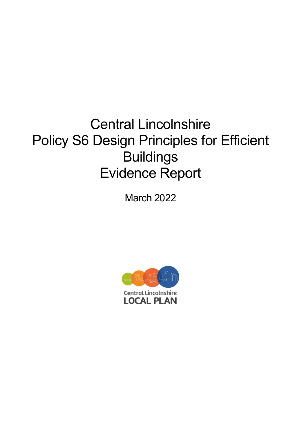# Central Lincolnshire Policy S6 Design Principles for Efficient Buildings Evidence Report

March 2022

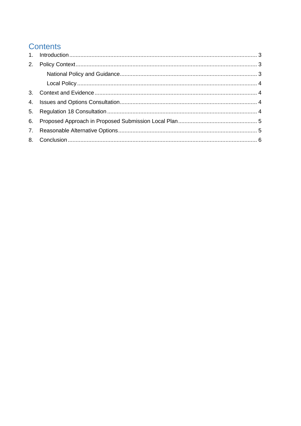# **Contents**

| 2. |  |
|----|--|
|    |  |
|    |  |
| 3. |  |
|    |  |
|    |  |
|    |  |
|    |  |
|    |  |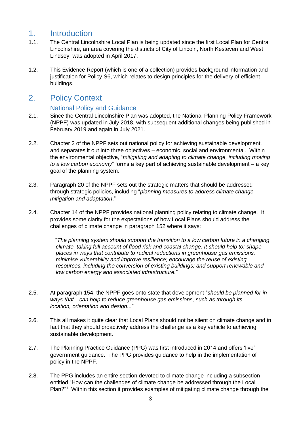## <span id="page-2-0"></span>1. Introduction

- 1.1. The Central Lincolnshire Local Plan is being updated since the first Local Plan for Central Lincolnshire, an area covering the districts of City of Lincoln, North Kesteven and West Lindsey, was adopted in April 2017.
- 1.2. This Evidence Report (which is one of a collection) provides background information and justification for Policy S6, which relates to design principles for the delivery of efficient buildings.

### <span id="page-2-1"></span>2. Policy Context

#### National Policy and Guidance

- <span id="page-2-2"></span>2.1. Since the Central Lincolnshire Plan was adopted, the National Planning Policy Framework (NPPF) was updated in July 2018, with subsequent additional changes being published in February 2019 and again in July 2021.
- 2.2. Chapter 2 of the NPPF sets out national policy for achieving sustainable development, and separates it out into three objectives – economic, social and environmental. Within the environmental objective, "*mitigating and adapting to climate change, including moving to a low carbon economy*" forms a key part of achieving sustainable development – a key goal of the planning system.
- 2.3. Paragraph 20 of the NPPF sets out the strategic matters that should be addressed through strategic policies, including "*planning measures to address climate change mitigation and adaptation*."
- 2.4. Chapter 14 of the NPPF provides national planning policy relating to climate change. It provides some clarity for the expectations of how Local Plans should address the challenges of climate change in paragraph 152 where it says:

"*The planning system should support the transition to a low carbon future in a changing climate, taking full account of flood risk and coastal change. It should help to: shape places in ways that contribute to radical reductions in greenhouse gas emissions, minimise vulnerability and improve resilience; encourage the reuse of existing resources, including the conversion of existing buildings; and support renewable and low carbon energy and associated infrastructure.*"

- 2.5. At paragraph 154, the NPPF goes onto state that development "*should be planned for in ways that…can help to reduce greenhouse gas emissions, such as through its location, orientation and design...*"
- 2.6. This all makes it quite clear that Local Plans should not be silent on climate change and in fact that they should proactively address the challenge as a key vehicle to achieving sustainable development.
- 2.7. The Planning Practice Guidance (PPG) was first introduced in 2014 and offers 'live' government guidance. The PPG provides guidance to help in the implementation of policy in the NPPF.
- 2.8. The PPG includes an entire section devoted to climate change including a subsection entitled "How can the challenges of climate change be addressed through the Local Plan?"<sup>1</sup> Within this section it provides examples of mitigating climate change through the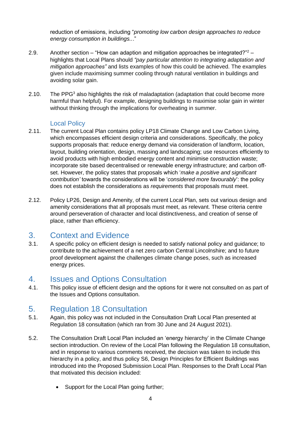reduction of emissions, including "*promoting low carbon design approaches to reduce energy consumption in buildings..*."

- 2.9. Another section "How can adaption and mitigation approaches be integrated?" $2$  highlights that Local Plans should *"pay particular attention to integrating adaptation and mitigation approaches"* and lists examples of how this could be achieved. The examples given include maximising summer cooling through natural ventilation in buildings and avoiding solar gain.
- 2.10. The PPG<sup>3</sup> also highlights the risk of maladaptation (adaptation that could become more harmful than helpful). For example, designing buildings to maximise solar gain in winter without thinking through the implications for overheating in summer.

#### Local Policy

- <span id="page-3-0"></span>2.11. The current Local Plan contains policy LP18 Climate Change and Low Carbon Living. which encompasses efficient design criteria and considerations. Specifically, the policy supports proposals that: reduce energy demand via consideration of landform, location, layout, building orientation, design, massing and landscaping; use resources efficiently to avoid products with high embodied energy content and minimise construction waste; incorporate site based decentralised or renewable energy infrastructure; and carbon offset. However, the policy states that proposals which '*make a positive and significant contribution'* towards the considerations will be '*considered more favourably*': the policy does not establish the considerations as *requirements* that proposals must meet.
- 2.12. Policy LP26, Design and Amenity, of the current Local Plan, sets out various design and amenity considerations that all proposals must meet, as relevant. These criteria centre around perseveration of character and local distinctiveness, and creation of sense of place, rather than efficiency.

#### <span id="page-3-1"></span>3. Context and Evidence

3.1. A specific policy on efficient design is needed to satisfy national policy and guidance; to contribute to the achievement of a net zero carbon Central Lincolnshire; and to future proof development against the challenges climate change poses, such as increased energy prices.

#### <span id="page-3-2"></span>4. Issues and Options Consultation

4.1. This policy issue of efficient design and the options for it were not consulted on as part of the Issues and Options consultation.

#### <span id="page-3-3"></span>5. Regulation 18 Consultation

- 5.1. Again, this policy was not included in the Consultation Draft Local Plan presented at Regulation 18 consultation (which ran from 30 June and 24 August 2021).
- 5.2. The Consultation Draft Local Plan included an 'energy hierarchy' in the Climate Change section introduction. On review of the Local Plan following the Regulation 18 consultation, and in response to various comments received, the decision was taken to include this hierarchy in a policy, and thus policy S6, Design Principles for Efficient Buildings was introduced into the Proposed Submission Local Plan. Responses to the Draft Local Plan that motivated this decision included:
	- Support for the Local Plan going further;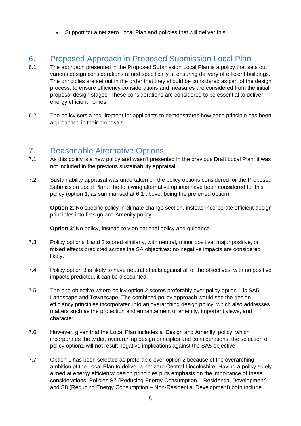• Support for a net zero Local Plan and policies that will deliver this.

## <span id="page-4-0"></span>6. Proposed Approach in Proposed Submission Local Plan

- 6.1. The approach presented in the Proposed Submission Local Plan is a policy that sets out various design considerations aimed specifically at ensuring delivery of efficient buildings. The principles are set out in the order that they should be considered as part of the design process, to ensure efficiency considerations and measures are considered from the initial proposal design stages. These considerations are considered to be essential to deliver energy efficient homes.
- 6.2. The policy sets a requirement for applicants to demonstrates how each principle has been approached in their proposals.

#### <span id="page-4-1"></span>7. Reasonable Alternative Options

- 7.1. As this policy is a new policy and wasn't presented in the previous Draft Local Plan, it was not included in the previous sustainability appraisal.
- 7.2. Sustainability appraisal was undertaken on the policy options considered for the Proposed Submission Local Plan. The following alternative options have been considered for this policy (option 1, as summarised at 6.1 above, being the preferred option).

**Option 2:** No specific policy in climate change section, instead incorporate efficient design principles into Design and Amenity policy.

**Option 3:** No policy, instead rely on national policy and guidance.

- 7.3. Policy options 1 and 2 scored similarly, with neutral, minor positive, major positive, or mixed effects predicted across the SA objectives: no negative impacts are considered likely.
- 7.4. Policy option 3 is likely to have neutral effects against all of the objectives: with no positive impacts predicted, it can be discounted.
- 7.5. The one objective where policy option 2 scores preferably over policy option 1 is SA5 Landscape and Townscape. The combined policy approach would see the design efficiency principles incorporated into an overarching design policy, which also addresses matters such as the protection and enhancement of amenity, important views, and character.
- 7.6. However, given that the Local Plan includes a 'Design and Amenity' policy, which incorporates the wider, overarching design principles and considerations, the selection of policy option1 will not result negative implications against the SA5 objective.
- 7.7. Option 1 has been selected as preferable over option 2 because of the overarching ambition of the Local Plan to deliver a net zero Central Lincolnshire. Having a policy solely aimed at energy efficiency design principles puts emphasis on the importance of these considerations. Policies S7 (Reducing Energy Consumption – Residential Development) and S8 (Reducing Energy Consumption – Non-Residential Development) both include